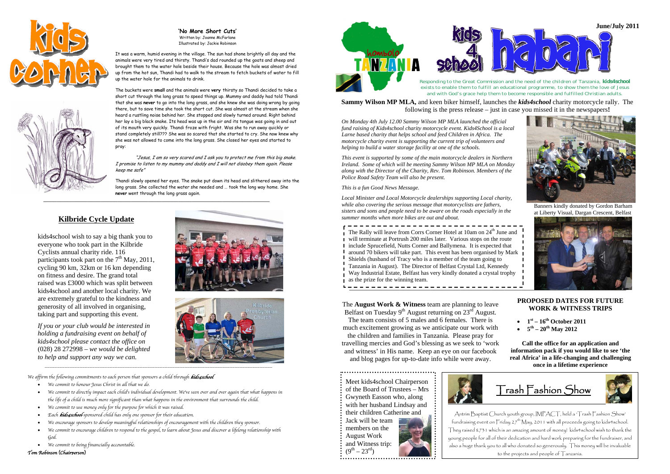





Written by: Joanne McFarlane Illustrated by: Jackie Robinson

It was a warm, humid evening in the village. The sun had shone brightly all day and the animals were very tired and thirsty. Thandi's dad rounded up the goats and sheep and brought them to the water hole beside their house. Because the hole was almost dried up from the hot sun, Thandi had to walk to the stream to fetch buckets of water to fill up the water hole for the animals to drink. *Responding to the Great Commission and the need of the children of Tanzania, kids4school*

*exists to enable them to fulfill an educational programme, to show them the love of Jesus* 

The buckets were small and the animals were very thirsty so Thandi decided to take a<br>short cut through the long grass to speed things up. Mummy and daddy had told Thandi and the low of Jesus to enable the metal of the meta that she was **never** to go into the long grass, and she knew she was doing wrong by going there, but to save time she took the short cut. She was almost at the stream when she heard a rustling noise behind her. She stopped and slowly turned around. Right behind her lay a big black snake. Its head was up in the air and its tongue was going in and out of its mouth very quickly. Thandi froze with fright. Was she to run away quickly or stand completely still??? She was so scared that she started to cry. She now knew why she was not allowed to come into the long grass. She closed her eyes and started to pray:

**Sammy Wilson MP MLA,** and keen biker himself, launches the *kids4school* charity motorcycle rally. The

following is the press release – just in case you missed it in the newspapers**!**

*On Monday 4th July 12.00 Sammy Wilson MP MLA launched the official fund raising of Kids4school charity motorcycle event. Kids4School is a local Larne based charity that helps school and feed Children in Africa. The motorcycle charity event is supporting the current trip of volunteers and helping to build a water storage facility at one of the schools.* 

The **August Work & Witness** team are planning to leave Belfast on Tuesday  $9<sup>th</sup>$  August returning on  $23<sup>rd</sup>$  August.

*This event is supported by some of the main motorcycle dealers in Northern Ireland. Some of which will be meeting Sammy Wilson MP MLA on Monday along with the Director of the Charity, Rev. Tom Robinson. Members of the Police Road Safety Team will also be present.* 

"Jesus, I am so very scared and I ask you to protect me from this big snake. I promise to listen to my mummy and daddy and I will not disobey them again. Please keep me safe"

\_\_\_\_\_\_\_\_\_\_\_\_\_\_\_\_\_\_\_\_\_\_\_\_\_\_\_\_\_\_\_\_\_\_\_\_\_\_\_\_\_\_\_\_\_\_\_\_\_\_\_\_\_\_\_\_\_\_\_\_\_\_\_\_\_\_\_

Thandi slowly opened her eyes. The snake put down its head and slithered away into the long grass. She collected the water she needed and … took the long way home. She **never** went through the long grass again.

*This is a fun Good News Message.*

*Local Minister and Local Motorcycle dealerships supporting Local charity, while also covering the serious message that motorcyclists are fathers, sisters and sons and people need to be aware on the roads especially in the summer months when more bikes are out and about.* 

 $\frac{1}{1}$  The Rally will leave from Corrs Corner Hotel at 10am on 24<sup>th</sup> June and will terminate at Portrush 200 miles later. Various stops on the route include Sprucefield, Nutts Corner and Ballymena. It is expected that **F** around 70 bikers will take part. This event has been organised by Mark Shields (husband of Tracy who is a member of the team going to Tanzania in August). The Director of Belfast Crystal Ltd, Kennedy Way Industrial Estate, Belfast has very kindly donated a crystal trophy as the prize for the winning team.<br> $\mathbf{a} = \mathbf{b} = \mathbf{c} = \mathbf{c} = \mathbf{c} = \mathbf{c} = \mathbf{c} = \mathbf{c} = \mathbf{c} = \mathbf{c} = \mathbf{c} = \mathbf{c} = \mathbf{c} = \mathbf{c} = \mathbf{c} = \mathbf{c} = \mathbf{c} = \mathbf{c} = \mathbf{c} = \mathbf{c} = \mathbf{c} = \mathbf{c} = \mathbf{c} = \mathbf{c} = \mathbf{c} = \mathbf{c} = \mathbf$ 



### **Kilbride Cycle Update**

\_\_\_\_\_\_\_\_\_\_\_\_\_\_\_\_\_\_\_\_\_\_\_\_\_\_\_\_\_\_\_\_\_\_\_\_\_\_\_\_\_\_\_\_\_\_\_\_\_\_\_\_\_\_\_\_\_\_\_\_\_\_\_\_\_\_\_\_\_\_\_\_\_\_\_\_\_\_\_\_\_\_\_\_\_\_\_\_\_\_\_

- We commit to honour Jesus Christ in all that we do.
- • We commit to directly impact each child's individual development. We've seen over and over again that what happens in the life of a child is much more significant than what happens in the environment that surrounds the child.

- We commit to use money only for the purpose for which it was raised.
- •Each *kids4school-sponsored child has only one sponsor for their education*.
- •We encourage sponsors to develop meaningful relationships of encouragement with the children they sponsor.
- • We commit to encourage children to respond to the gospel, to learn about Jesus and discover a lifelong relationship with God.
- We commit to being financially accountable.

Tom Robinson (Chairperson)



The team consists of 5 males and 6 females. There is much excitement growing as we anticipate our work with

the children and families in Tanzania. Please pray for travelling mercies and God's blessing as we seek to 'work and witness' in His name. Keep an eye on our facebook and blo g p a ges for u p-to-date info while were awa y.

#### **PROPOSED DATES FOR FUTURE WORK & WITNESS TRIPS**

- $1^{\rm st} 16^{\rm th}$  October 2011
- $5^{\text{th}} 20^{\text{th}}$  May 2012

**Call the office for an application and information pack if you would like to see 'the real Africa' in a life-changing and challenging once in a lifetime experience** 

Meet kids4school Chairperson of the Board of Trustees – Mrs Gwyneth Easson who, along with her husband Lindsay and their children Catherine and Jack will be team members on the August Work and Witness trip:

 $(9^{th} – 23^{rd})$ 



Antrim Baptist Church youth group, IMPACT, held a 'Trash Fashion Show' fundraising event on  $\overline{\Gamma}$ riday 27<sup>th</sup> May, 2011 with all proceeds going to kids4school. They raised £731 which is an amazing amount of money! kids4school wish to thank the young people for all of their dedication and hard work preparing for the fundraiser, and also a huge thank you to all who donated so generously. This money will be invaluable to the projects and people of Tanzania.

## Trash Fashion Show



kids4school wish to say a big thank you to everyone who took part in the Kilbride Cyclists annual charity ride. 116 participants took part on the  $7<sup>th</sup>$  May, 2011, cycling 90 km, 32km or 16 km depending on fitness and desire. The grand total raised was £3000 which was split between kids4school and another local charity. We are extremely grateful to the kindness and generosity of all involved in organising, taking part and supporting this event.

*If you or your club would be interested in holding a fundraising event on behalf of kids4school please contact the office on*  (028) 28 272998 *– we would be delighted to help and support any way we can.* 





We affirm the following commitments to each person that sponsors a child through kids4school:

\_\_\_\_\_\_\_\_\_\_\_\_\_\_\_\_\_\_\_\_\_\_\_\_\_\_\_\_\_\_\_\_\_\_\_\_\_\_\_\_\_\_\_\_\_\_\_\_\_\_\_\_\_\_\_\_\_\_\_\_\_\_\_\_\_\_\_\_\_\_\_\_\_\_\_\_\_\_\_\_\_\_